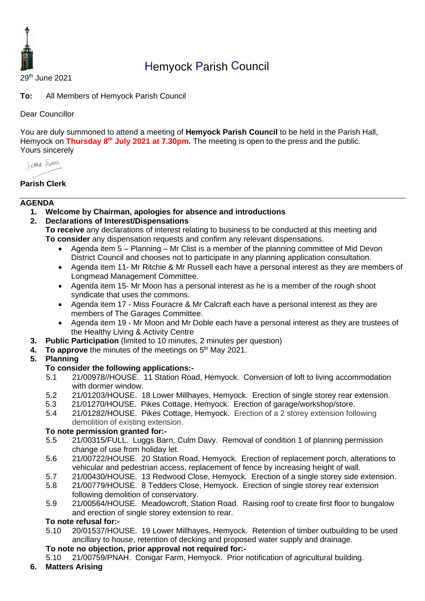

# Hemyock Parish Council

29th June 2021

**To:** All Members of Hemyock Parish Council

Dear Councillor

You are duly summoned to attend a meeting of **Hemyock Parish Council** to be held in the Parish Hall, Hemyock on **Thursday 8th July 2021 at 7.30pm.** The meeting is open to the press and the public. Yours sincerely

**Lange Stans** 

# **Parish Clerk**

#### **AGENDA**

- **1. Welcome by Chairman, apologies for absence and introductions**
- **2. Declarations of Interest/Dispensations**
	- **To receive** any declarations of interest relating to business to be conducted at this meeting and **To consider** any dispensation requests and confirm any relevant dispensations.
		- Agenda item 5 Planning Mr Clist is a member of the planning committee of Mid Devon District Council and chooses not to participate in any planning application consultation.
		- Agenda item 11- Mr Ritchie & Mr Russell each have a personal interest as they are members of Longmead Management Committee.
		- Agenda item 15- Mr Moon has a personal interest as he is a member of the rough shoot syndicate that uses the commons.
		- Agenda item 17 Miss Fouracre & Mr Calcraft each have a personal interest as they are members of The Garages Committee.
		- Agenda item 19 Mr Moon and Mr Doble each have a personal interest as they are trustees of the Healthy Living & Activity Centre
- **3. Public Participation** (limited to 10 minutes, 2 minutes per question)
- 4. To approve the minutes of the meetings on 5<sup>th</sup> May 2021.

# **5. Planning**

# **To consider the following applications:-**

- 5.1 21/00978//HOUSE. 11 Station Road, Hemyock. Conversion of loft to living accommodation with dormer window.
- 5.2 21/01203/HOUSE. 18 Lower Millhayes, Hemyock. Erection of single storey rear extension.
- 5.3 21/01270/HOUSE. Pikes Cottage, Hemyock. Erection of garage/workshop/store.
- 5.4 21/01282/HOUSE. Pikes Cottage, Hemyock. Erection of a 2 storey extension following demolition of existing extension.

# **To note permission granted for:-**

- 5.5 21/00315/FULL. Luggs Barn, Culm Davy. Removal of condition 1 of planning permission change of use from holiday let.
- 5.6 21/00722/HOUSE. 20 Station Road, Hemyock. Erection of replacement porch, alterations to vehicular and pedestrian access, replacement of fence by increasing height of wall.
- 5.7 21/00430/HOUSE. 13 Redwood Close, Hemyock. Erection of a single storey side extension.
- 5.8 21/00779/HOUSE. 8 Tedders Close, Hemyock. Erection of single storey rear extension following demolition of conservatory.
- 5.9 21/00564/HOUSE. Meadowcroft, Station Road. Raising roof to create first floor to bungalow and erection of single storey extension to rear.

# **To note refusal for:-**

- 5.10 20/01537/HOUSE. 19 Lower Millhayes, Hemyock. Retention of timber outbuilding to be used ancillary to house, retention of decking and proposed water supply and drainage.
- **To note no objection, prior approval not required for:-**
- 5.10 21/00759/PNAH. Conigar Farm, Hemyock. Prior notification of agricultural building.

# **6. Matters Arising**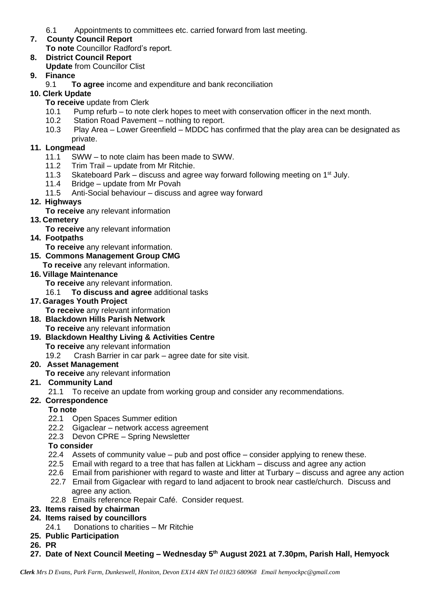6.1 Appointments to committees etc. carried forward from last meeting.

#### **7. County Council Report To note** Councillor Radford's report.

#### **8. District Council Report Update** from Councillor Clist

# **9. Finance**

9.1 **To agree** income and expenditure and bank reconciliation

#### **10. Clerk Update**

- **To receive** update from Clerk
- 10.1 Pump refurb to note clerk hopes to meet with conservation officer in the next month.
- 10.2 Station Road Pavement nothing to report.
- 10.3 Play Area Lower Greenfield MDDC has confirmed that the play area can be designated as private.

# **11. Longmead**

- 11.1 SWW to note claim has been made to SWW.
- 11.2 Trim Trail update from Mr Ritchie.
- 11.3 Skateboard Park discuss and agree way forward following meeting on  $1<sup>st</sup>$  July.
- 11.4 Bridge update from Mr Povah
- 11.5 Anti-Social behaviour discuss and agree way forward

#### **12. Highways**

**To receive** any relevant information

# **13. Cemetery**

- **To receive** any relevant information
- **14. Footpaths**

**To receive** any relevant information.

**15. Commons Management Group CMG To receive** any relevant information.

#### **16. Village Maintenance**

- **To receive** any relevant information.
- 16.1 **To discuss and agree** additional tasks

#### **17. Garages Youth Project**

- **To receive** any relevant information
- **18. Blackdown Hills Parish Network**
- **To receive** any relevant information
- **19. Blackdown Healthy Living & Activities Centre To receive** any relevant information
	- 19.2 Crash Barrier in car park agree date for site visit.

#### **20. Asset Management**

**To receive** any relevant information

# **21. Community Land**

21.1 To receive an update from working group and consider any recommendations.

# **22. Correspondence**

# **To note**

- 22.1 Open Spaces Summer edition
- 22.2 Gigaclear network access agreement
- 22.3 Devon CPRE Spring Newsletter

#### **To consider**

- 22.4 Assets of community value pub and post office consider applying to renew these.
- 22.5 Email with regard to a tree that has fallen at Lickham discuss and agree any action
- 22.6 Email from parishioner with regard to waste and litter at Turbary discuss and agree any action
- 22.7 Email from Gigaclear with regard to land adjacent to brook near castle/church. Discuss and agree any action.
- 22.8 Emails reference Repair Café. Consider request.

# **23. Items raised by chairman**

- **24. Items raised by councillors**
	- 24.1 Donations to charities Mr Ritchie
- **25. Public Participation**
- **26. PR**
- **27. Date of Next Council Meeting – Wednesday 5 th August 2021 at 7.30pm, Parish Hall, Hemyock**